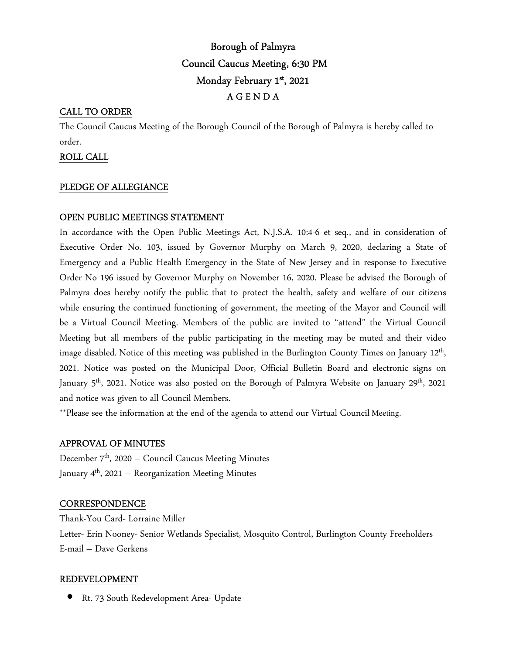# Borough of Palmyra Council Caucus Meeting, 6:30 PM Monday February 1st, 2021 A G E N D A

## CALL TO ORDER

The Council Caucus Meeting of the Borough Council of the Borough of Palmyra is hereby called to order.

### ROLL CALL

#### PLEDGE OF ALLEGIANCE

## OPEN PUBLIC MEETINGS STATEMENT

In accordance with the Open Public Meetings Act, N.J.S.A. 10:4-6 et seq., and in consideration of Executive Order No. 103, issued by Governor Murphy on March 9, 2020, declaring a State of Emergency and a Public Health Emergency in the State of New Jersey and in response to Executive Order No 196 issued by Governor Murphy on November 16, 2020. Please be advised the Borough of Palmyra does hereby notify the public that to protect the health, safety and welfare of our citizens while ensuring the continued functioning of government, the meeting of the Mayor and Council will be a Virtual Council Meeting. Members of the public are invited to "attend" the Virtual Council Meeting but all members of the public participating in the meeting may be muted and their video image disabled. Notice of this meeting was published in the Burlington County Times on January 12<sup>th</sup>, 2021. Notice was posted on the Municipal Door, Official Bulletin Board and electronic signs on January 5<sup>th</sup>, 2021. Notice was also posted on the Borough of Palmyra Website on January 29<sup>th</sup>, 2021 and notice was given to all Council Members.

\*\*Please see the information at the end of the agenda to attend our Virtual Council Meeting.

#### APPROVAL OF MINUTES

December  $7<sup>th</sup>$ , 2020 – Council Caucus Meeting Minutes January  $4<sup>th</sup>$ , 2021 – Reorganization Meeting Minutes

#### **CORRESPONDENCE**

Thank-You Card- Lorraine Miller Letter- Erin Nooney- Senior Wetlands Specialist, Mosquito Control, Burlington County Freeholders E-mail – Dave Gerkens

#### REDEVELOPMENT

• Rt. 73 South Redevelopment Area- Update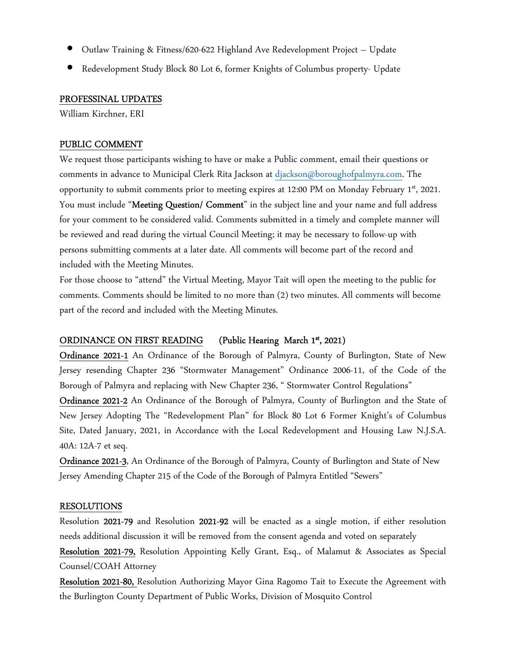- Outlaw Training & Fitness/620-622 Highland Ave Redevelopment Project Update
- Redevelopment Study Block 80 Lot 6, former Knights of Columbus property- Update

#### PROFESSINAL UPDATES

William Kirchner, ERI

#### PUBLIC COMMENT

We request those participants wishing to have or make a Public comment, email their questions or comments in advance to Municipal Clerk Rita Jackson at djackson@boroughofpalmyra.com. The opportunity to submit comments prior to meeting expires at 12:00 PM on Monday February  $1<sup>st</sup>$ , 2021. You must include "Meeting Question/ Comment" in the subject line and your name and full address for your comment to be considered valid. Comments submitted in a timely and complete manner will be reviewed and read during the virtual Council Meeting; it may be necessary to follow-up with persons submitting comments at a later date. All comments will become part of the record and included with the Meeting Minutes.

For those choose to "attend" the Virtual Meeting, Mayor Tait will open the meeting to the public for comments. Comments should be limited to no more than (2) two minutes. All comments will become part of the record and included with the Meeting Minutes.

#### ORDINANCE ON FIRST READING (Public Hearing March 1<sup>st</sup>, 2021)

Ordinance 2021-1 An Ordinance of the Borough of Palmyra, County of Burlington, State of New Jersey resending Chapter 236 "Stormwater Management" Ordinance 2006-11, of the Code of the Borough of Palmyra and replacing with New Chapter 236, " Stormwater Control Regulations"

Ordinance 2021-2 An Ordinance of the Borough of Palmyra, County of Burlington and the State of New Jersey Adopting The "Redevelopment Plan" for Block 80 Lot 6 Former Knight's of Columbus Site, Dated January, 2021, in Accordance with the Local Redevelopment and Housing Law N.J.S.A. 40A: 12A-7 et seq.

Ordinance 2021-3, An Ordinance of the Borough of Palmyra, County of Burlington and State of New Jersey Amending Chapter 215 of the Code of the Borough of Palmyra Entitled "Sewers"

#### RESOLUTIONS

Resolution 2021-79 and Resolution 2021-92 will be enacted as a single motion, if either resolution needs additional discussion it will be removed from the consent agenda and voted on separately

Resolution 2021-79, Resolution Appointing Kelly Grant, Esq., of Malamut & Associates as Special Counsel/COAH Attorney

Resolution 2021-80, Resolution Authorizing Mayor Gina Ragomo Tait to Execute the Agreement with the Burlington County Department of Public Works, Division of Mosquito Control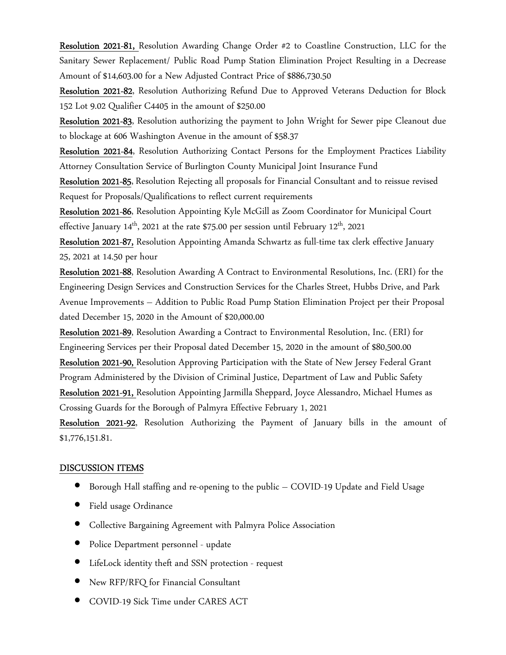Resolution 2021-81, Resolution Awarding Change Order #2 to Coastline Construction, LLC for the Sanitary Sewer Replacement/ Public Road Pump Station Elimination Project Resulting in a Decrease Amount of \$14,603.00 for a New Adjusted Contract Price of \$886,730.50

Resolution 2021-82, Resolution Authorizing Refund Due to Approved Veterans Deduction for Block 152 Lot 9.02 Qualifier C4405 in the amount of \$250.00

Resolution 2021-83, Resolution authorizing the payment to John Wright for Sewer pipe Cleanout due to blockage at 606 Washington Avenue in the amount of \$58.37

Resolution 2021-84, Resolution Authorizing Contact Persons for the Employment Practices Liability Attorney Consultation Service of Burlington County Municipal Joint Insurance Fund

Resolution 2021-85, Resolution Rejecting all proposals for Financial Consultant and to reissue revised Request for Proposals/Qualifications to reflect current requirements

Resolution 2021-86, Resolution Appointing Kyle McGill as Zoom Coordinator for Municipal Court effective January  $14<sup>th</sup>$ , 2021 at the rate \$75.00 per session until February  $12<sup>th</sup>$ , 2021

Resolution 2021-87, Resolution Appointing Amanda Schwartz as full-time tax clerk effective January 25, 2021 at 14.50 per hour

Resolution 2021-88, Resolution Awarding A Contract to Environmental Resolutions, Inc. (ERI) for the Engineering Design Services and Construction Services for the Charles Street, Hubbs Drive, and Park Avenue Improvements – Addition to Public Road Pump Station Elimination Project per their Proposal dated December 15, 2020 in the Amount of \$20,000.00

Resolution 2021-89, Resolution Awarding a Contract to Environmental Resolution, Inc. (ERI) for Engineering Services per their Proposal dated December 15, 2020 in the amount of \$80,500.00

Resolution 2021-90, Resolution Approving Participation with the State of New Jersey Federal Grant Program Administered by the Division of Criminal Justice, Department of Law and Public Safety Resolution 2021-91, Resolution Appointing Jarmilla Sheppard, Joyce Alessandro, Michael Humes as Crossing Guards for the Borough of Palmyra Effective February 1, 2021

Resolution 2021-92, Resolution Authorizing the Payment of January bills in the amount of \$1,776,151.81.

#### DISCUSSION ITEMS

- Borough Hall staffing and re-opening to the public COVID-19 Update and Field Usage
- Field usage Ordinance
- Collective Bargaining Agreement with Palmyra Police Association
- Police Department personnel update
- LifeLock identity theft and SSN protection request
- New RFP/RFQ for Financial Consultant
- COVID-19 Sick Time under CARES ACT